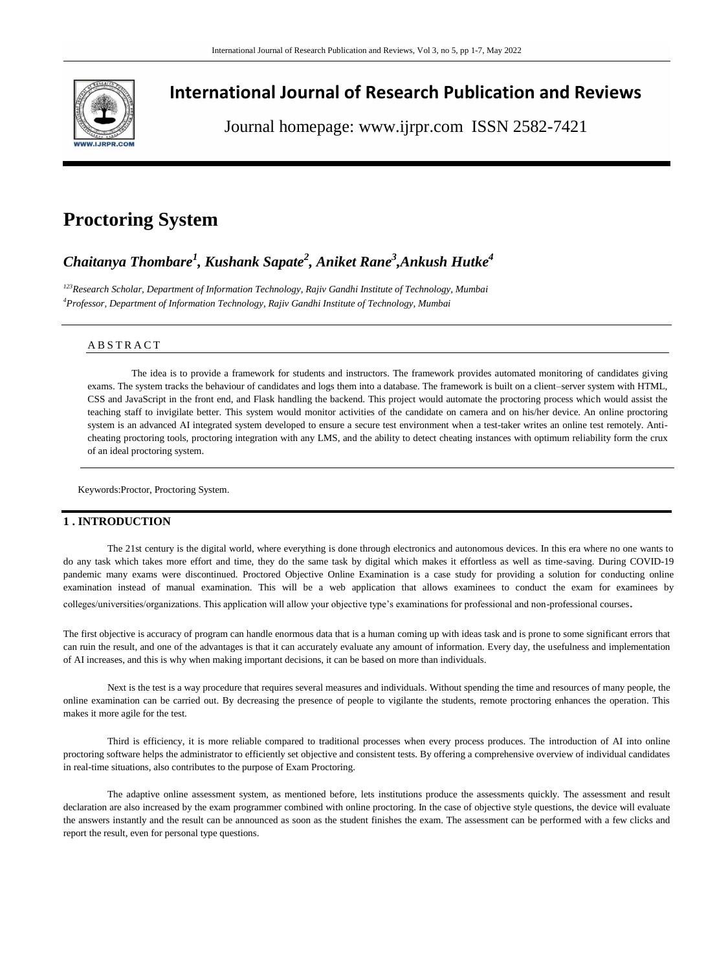

# **International Journal of Research Publication and Reviews**

Journal homepage: www.ijrpr.com ISSN 2582-7421

# **Proctoring System**

# *Chaitanya Thombare<sup>1</sup> , Kushank Sapate<sup>2</sup> , Aniket Rane<sup>3</sup> ,Ankush Hutke<sup>4</sup>*

*<sup>123</sup>Research Scholar, Department of Information Technology, Rajiv Gandhi Institute of Technology, Mumbai <sup>4</sup>Professor, Department of Information Technology, Rajiv Gandhi Institute of Technology, Mumbai*

# A B S T R A C T

The idea is to provide a framework for students and instructors. The framework provides automated monitoring of candidates giving exams. The system tracks the behaviour of candidates and logs them into a database. The framework is built on a client–server system with HTML, CSS and JavaScript in the front end, and Flask handling the backend. This project would automate the proctoring process which would assist the teaching staff to invigilate better. This system would monitor activities of the candidate on camera and on his/her device. An online proctoring system is an advanced AI integrated system developed to ensure a secure test environment when a test-taker writes an online test remotely. Anticheating proctoring tools, proctoring integration with any LMS, and the ability to detect cheating instances with optimum reliability form the crux of an ideal proctoring system.

Keywords:Proctor, Proctoring System.

# **1 . INTRODUCTION**

The 21st century is the digital world, where everything is done through electronics and autonomous devices. In this era where no one wants to do any task which takes more effort and time, they do the same task by digital which makes it effortless as well as time-saving. During COVID-19 pandemic many exams were discontinued. Proctored Objective Online Examination is a case study for providing a solution for conducting online examination instead of manual examination. This will be a web application that allows examinees to conduct the exam for examinees by colleges/universities/organizations. This application will allow your objective type's examinations for professional and non-professional courses.

The first objective is accuracy of program can handle enormous data that is a human coming up with ideas task and is prone to some significant errors that can ruin the result, and one of the advantages is that it can accurately evaluate any amount of information. Every day, the usefulness and implementation of AI increases, and this is why when making important decisions, it can be based on more than individuals.

Next is the test is a way procedure that requires several measures and individuals. Without spending the time and resources of many people, the online examination can be carried out. By decreasing the presence of people to vigilante the students, remote proctoring enhances the operation. This makes it more agile for the test.

Third is efficiency, it is more reliable compared to traditional processes when every process produces. The introduction of AI into online proctoring software helps the administrator to efficiently set objective and consistent tests. By offering a comprehensive overview of individual candidates in real-time situations, also contributes to the purpose of Exam Proctoring.

The adaptive online assessment system, as mentioned before, lets institutions produce the assessments quickly. The assessment and result declaration are also increased by the exam programmer combined with online proctoring. In the case of objective style questions, the device will evaluate the answers instantly and the result can be announced as soon as the student finishes the exam. The assessment can be performed with a few clicks and report the result, even for personal type questions.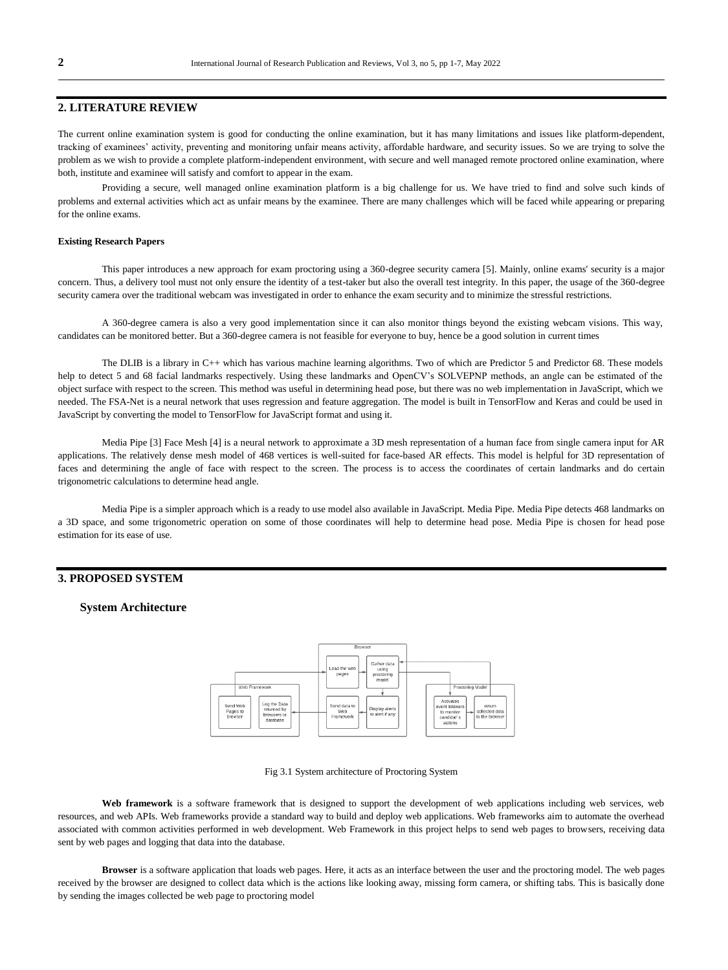# **2. LITERATURE REVIEW**

The current online examination system is good for conducting the online examination, but it has many limitations and issues like platform-dependent, tracking of examinees' activity, preventing and monitoring unfair means activity, affordable hardware, and security issues. So we are trying to solve the problem as we wish to provide a complete platform-independent environment, with secure and well managed remote proctored online examination, where both, institute and examinee will satisfy and comfort to appear in the exam.

Providing a secure, well managed online examination platform is a big challenge for us. We have tried to find and solve such kinds of problems and external activities which act as unfair means by the examinee. There are many challenges which will be faced while appearing or preparing for the online exams.

### **Existing Research Papers**

This paper introduces a new approach for exam proctoring using a 360-degree security camera [5]. Mainly, online exams' security is a major concern. Thus, a delivery tool must not only ensure the identity of a test-taker but also the overall test integrity. In this paper, the usage of the 360-degree security camera over the traditional webcam was investigated in order to enhance the exam security and to minimize the stressful restrictions.

A 360-degree camera is also a very good implementation since it can also monitor things beyond the existing webcam visions. This way, candidates can be monitored better. But a 360-degree camera is not feasible for everyone to buy, hence be a good solution in current times

The DLIB is a library in C++ which has various machine learning algorithms. Two of which are Predictor 5 and Predictor 68. These models help to detect 5 and 68 facial landmarks respectively. Using these landmarks and OpenCV's SOLVEPNP methods, an angle can be estimated of the object surface with respect to the screen. This method was useful in determining head pose, but there was no web implementation in JavaScript, which we needed. The FSA-Net is a neural network that uses regression and feature aggregation. The model is built in TensorFlow and Keras and could be used in JavaScript by converting the model to TensorFlow for JavaScript format and using it.

Media Pipe [3] Face Mesh [4] is a neural network to approximate a 3D mesh representation of a human face from single camera input for AR applications. The relatively dense mesh model of 468 vertices is well-suited for face-based AR effects. This model is helpful for 3D representation of faces and determining the angle of face with respect to the screen. The process is to access the coordinates of certain landmarks and do certain trigonometric calculations to determine head angle.

Media Pipe is a simpler approach which is a ready to use model also available in JavaScript. Media Pipe. Media Pipe detects 468 landmarks on a 3D space, and some trigonometric operation on some of those coordinates will help to determine head pose. Media Pipe is chosen for head pose estimation for its ease of use.

## **3. PROPOSED SYSTEM**

## **System Architecture**



#### Fig 3.1 System architecture of Proctoring System

Web framework is a software framework that is designed to support the development of web applications including web services, web resources, and web APIs. Web frameworks provide a standard way to build and deploy web applications. Web frameworks aim to automate the overhead associated with common activities performed in web development. Web Framework in this project helps to send web pages to browsers, receiving data sent by web pages and logging that data into the database.

**Browser** is a software application that loads web pages. Here, it acts as an interface between the user and the proctoring model. The web pages received by the browser are designed to collect data which is the actions like looking away, missing form camera, or shifting tabs. This is basically done by sending the images collected be web page to proctoring model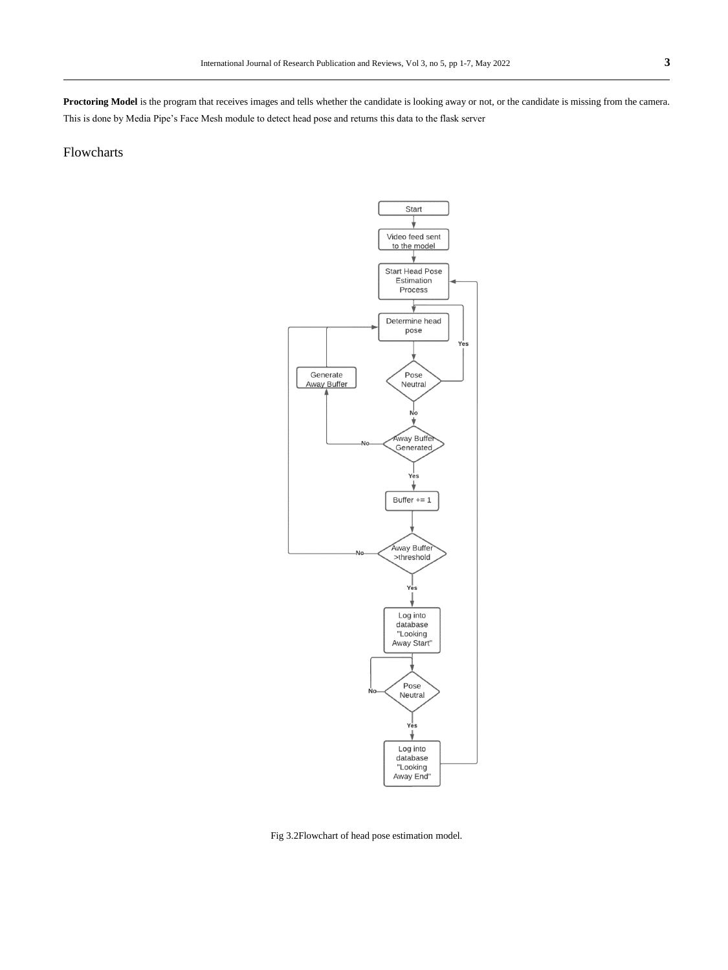Proctoring Model is the program that receives images and tells whether the candidate is looking away or not, or the candidate is missing from the camera. This is done by Media Pipe's Face Mesh module to detect head pose and returns this data to the flask server

# Flowcharts



Fig 3.2Flowchart of head pose estimation model.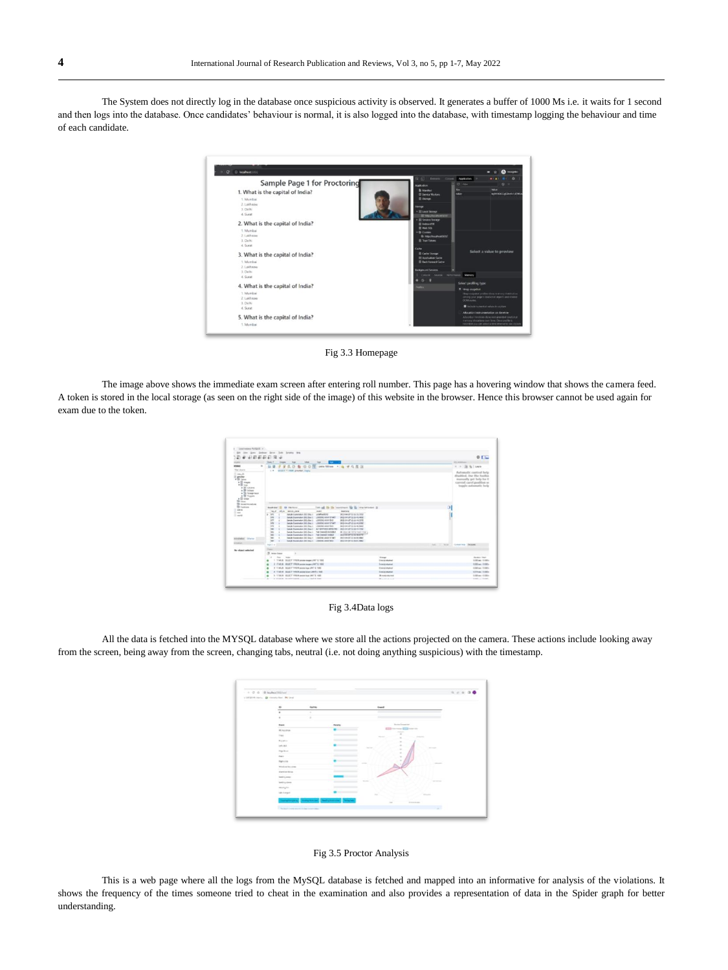The System does not directly log in the database once suspicious activity is observed. It generates a buffer of 1000 Ms i.e. it waits for 1 second and then logs into the database. Once candidates' behaviour is normal, it is also logged into the database, with timestamp logging the behaviour and time of each candidate.

| Deverts Course<br>Application<br>$C = 1044$<br>$62 - 1$<br><b>Value</b><br>Key<br>toker<br><b>NUMBOO MONETARY</b><br>10 Year Pacific MY OF<br><b>B. Holly Aventure Way</b> |
|----------------------------------------------------------------------------------------------------------------------------------------------------------------------------|
|                                                                                                                                                                            |
|                                                                                                                                                                            |
|                                                                                                                                                                            |
|                                                                                                                                                                            |
|                                                                                                                                                                            |
|                                                                                                                                                                            |
|                                                                                                                                                                            |
|                                                                                                                                                                            |
|                                                                                                                                                                            |
|                                                                                                                                                                            |
|                                                                                                                                                                            |
|                                                                                                                                                                            |
| Select a value to preview                                                                                                                                                  |
|                                                                                                                                                                            |
|                                                                                                                                                                            |
|                                                                                                                                                                            |
| Coucle Source: Ferturnance Memory                                                                                                                                          |
|                                                                                                                                                                            |
| Select profiling type                                                                                                                                                      |
| <b>R</b> Linke snapshre                                                                                                                                                    |
| How exambled profiles show manage distribution<br>concerts your gager's investment planning and entailed                                                                   |
| DOM ricelled                                                                                                                                                               |
| The basis in a market when it seems                                                                                                                                        |
| Alling afforts instrumentations can taxwitne                                                                                                                               |
|                                                                                                                                                                            |
|                                                                                                                                                                            |

Fig 3.3 Homepage

The image above shows the immediate exam screen after entering roll number. This page has a hovering window that shows the camera feed. A token is stored in the local storage (as seen on the right side of the image) of this website in the browser. Hence this browser cannot be used again for exam due to the token.





All the data is fetched into the MYSQL database where we store all the actions projected on the camera. These actions include looking away from the screen, being away from the screen, changing tabs, neutral (i.e. not doing anything suspicious) with the timestamp.

| $\alpha$<br>-                    | <b>Suit No.</b> |                | <b>Drawing</b>                                                                                                     |                   |
|----------------------------------|-----------------|----------------|--------------------------------------------------------------------------------------------------------------------|-------------------|
| $\alpha$<br>$20 - 10$            | ٠               |                | ÷                                                                                                                  |                   |
| ٠                                |                 |                |                                                                                                                    |                   |
| <b>Bank</b>                      |                 | <b>Penator</b> | Senatorial contract                                                                                                |                   |
| --<br><b>Millers</b>             |                 |                | the first series<br>-                                                                                              |                   |
| Total                            |                 |                | ٠<br>$\frac{1}{2} \left( \frac{1}{2} \right) \left( \frac{1}{2} \right) \left( \frac{1}{2} \right)$<br>$-0.000000$ |                   |
| Business                         |                 |                | $\overline{a}$<br>٠                                                                                                |                   |
| telling at                       |                 |                | ٠<br><b>Contract</b><br><b>STATE</b>                                                                               |                   |
| ing host                         |                 |                | ٠<br>٠                                                                                                             |                   |
| <b>Sales</b>                     |                 |                | $\lambda$                                                                                                          |                   |
| Eagleston                        |                 |                | -                                                                                                                  | -                 |
| Window fee area                  |                 |                |                                                                                                                    |                   |
| <b>Dark Cult Boran</b><br>----   |                 |                |                                                                                                                    |                   |
| leading along                    |                 |                | <b>STATE</b>                                                                                                       |                   |
| looking does                     |                 |                |                                                                                                                    | <b>STATISTICS</b> |
| mining for.                      |                 |                |                                                                                                                    |                   |
| 10-2-year                        |                 | _____          | $\sim$<br><b>STARTED</b>                                                                                           |                   |
|                                  |                 | --             | $\sim$<br><b>STATISTICS</b>                                                                                        |                   |
| The part and most major services |                 |                |                                                                                                                    | ×                 |



This is a web page where all the logs from the MySQL database is fetched and mapped into an informative for analysis of the violations. It shows the frequency of the times someone tried to cheat in the examination and also provides a representation of data in the Spider graph for better understanding.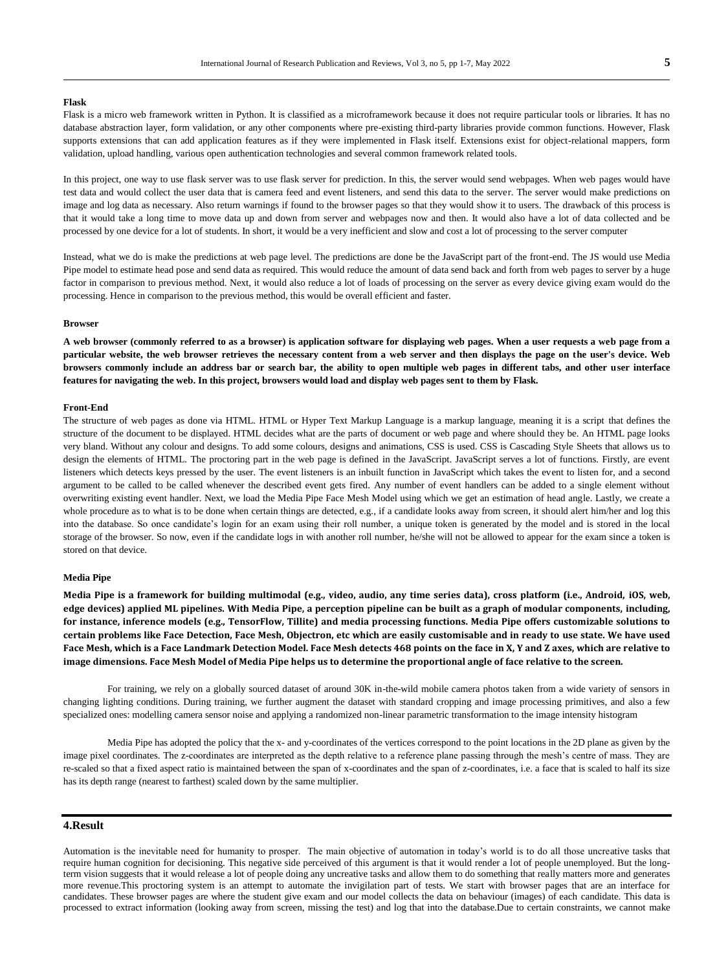## **Flask**

Flask is a micro web framework written in Python. It is classified as a microframework because it does not require particular tools or libraries. It has no database abstraction layer, form validation, or any other components where pre-existing third-party libraries provide common functions. However, Flask supports extensions that can add application features as if they were implemented in Flask itself. Extensions exist for object-relational mappers, form validation, upload handling, various open authentication technologies and several common framework related tools.

In this project, one way to use flask server was to use flask server for prediction. In this, the server would send webpages. When web pages would have test data and would collect the user data that is camera feed and event listeners, and send this data to the server. The server would make predictions on image and log data as necessary. Also return warnings if found to the browser pages so that they would show it to users. The drawback of this process is that it would take a long time to move data up and down from server and webpages now and then. It would also have a lot of data collected and be processed by one device for a lot of students. In short, it would be a very inefficient and slow and cost a lot of processing to the server computer

Instead, what we do is make the predictions at web page level. The predictions are done be the JavaScript part of the front-end. The JS would use Media Pipe model to estimate head pose and send data as required. This would reduce the amount of data send back and forth from web pages to server by a huge factor in comparison to previous method. Next, it would also reduce a lot of loads of processing on the server as every device giving exam would do the processing. Hence in comparison to the previous method, this would be overall efficient and faster.

### **Browser**

**A web browser (commonly referred to as a browser) is application software for displaying web pages. When a user requests a web page from a particular website, the web browser retrieves the necessary content from a web server and then displays the page on the user's device. Web browsers commonly include an address bar or search bar, the ability to open multiple web pages in different tabs, and other user interface features for navigating the web. In this project, browsers would load and display web pages sent to them by Flask.** 

#### **Front-End**

The structure of web pages as done via HTML. HTML or Hyper Text Markup Language is a markup language, meaning it is a script that defines the structure of the document to be displayed. HTML decides what are the parts of document or web page and where should they be. An HTML page looks very bland. Without any colour and designs. To add some colours, designs and animations, CSS is used. CSS is Cascading Style Sheets that allows us to design the elements of HTML. The proctoring part in the web page is defined in the JavaScript. JavaScript serves a lot of functions. Firstly, are event listeners which detects keys pressed by the user. The event listeners is an inbuilt function in JavaScript which takes the event to listen for, and a second argument to be called to be called whenever the described event gets fired. Any number of event handlers can be added to a single element without overwriting existing event handler. Next, we load the Media Pipe Face Mesh Model using which we get an estimation of head angle. Lastly, we create a whole procedure as to what is to be done when certain things are detected, e.g., if a candidate looks away from screen, it should alert him/her and log this into the database. So once candidate's login for an exam using their roll number, a unique token is generated by the model and is stored in the local storage of the browser. So now, even if the candidate logs in with another roll number, he/she will not be allowed to appear for the exam since a token is stored on that device.

#### **Media Pipe**

**Media Pipe is a framework for building multimodal (e.g., video, audio, any time series data), cross platform (i.e., Android, iOS, web, edge devices) applied ML pipelines. With Media Pipe, a perception pipeline can be built as a graph of modular components, including, for instance, inference models (e.g., TensorFlow, Tillite) and media processing functions. Media Pipe offers customizable solutions to certain problems like Face Detection, Face Mesh, Objectron, etc which are easily customisable and in ready to use state. We have used Face Mesh, which is a Face Landmark Detection Model. Face Mesh detects 468 points on the face in X, Y and Z axes, which are relative to image dimensions. Face Mesh Model of Media Pipe helps us to determine the proportional angle of face relative to the screen.**

For training, we rely on a globally sourced dataset of around 30K in-the-wild mobile camera photos taken from a wide variety of sensors in changing lighting conditions. During training, we further augment the dataset with standard cropping and image processing primitives, and also a few specialized ones: modelling camera sensor noise and applying a randomized non-linear parametric transformation to the image intensity histogram

Media Pipe has adopted the policy that the x- and y-coordinates of the vertices correspond to the point locations in the 2D plane as given by the image pixel coordinates. The z-coordinates are interpreted as the depth relative to a reference plane passing through the mesh's centre of mass. They are re-scaled so that a fixed aspect ratio is maintained between the span of x-coordinates and the span of z-coordinates, i.e. a face that is scaled to half its size has its depth range (nearest to farthest) scaled down by the same multiplier.

# **4.Result**

Automation is the inevitable need for humanity to prosper. The main objective of automation in today's world is to do all those uncreative tasks that require human cognition for decisioning. This negative side perceived of this argument is that it would render a lot of people unemployed. But the longterm vision suggests that it would release a lot of people doing any uncreative tasks and allow them to do something that really matters more and generates more revenue.This proctoring system is an attempt to automate the invigilation part of tests. We start with browser pages that are an interface for candidates. These browser pages are where the student give exam and our model collects the data on behaviour (images) of each candidate. This data is processed to extract information (looking away from screen, missing the test) and log that into the database.Due to certain constraints, we cannot make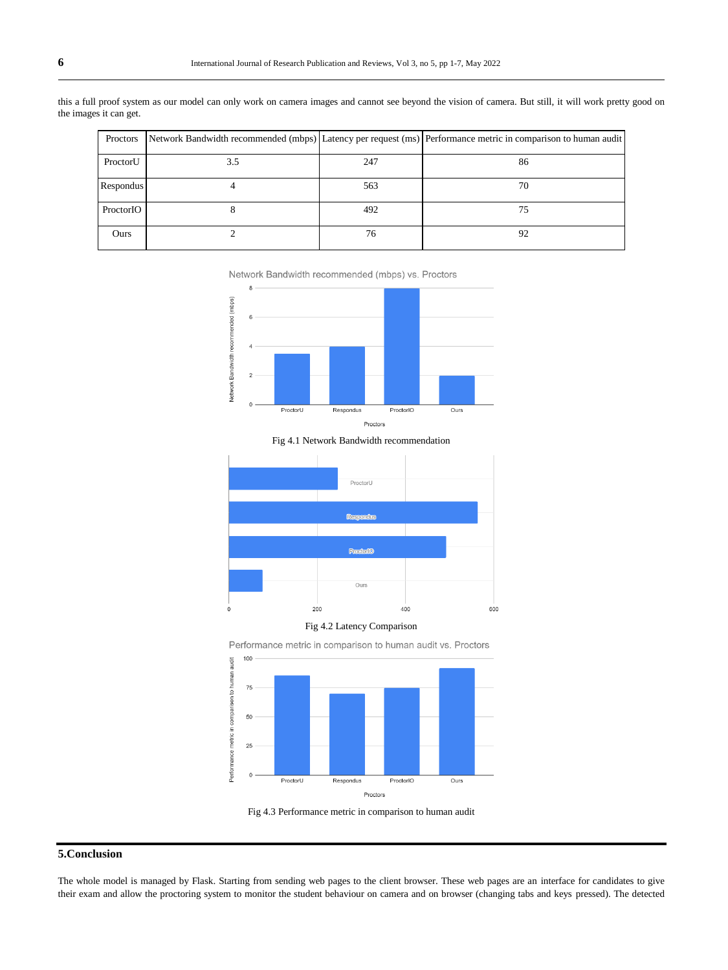| Proctors  |     |     | Network Bandwidth recommended (mbps) Latency per request (ms) Performance metric in comparison to human audit |
|-----------|-----|-----|---------------------------------------------------------------------------------------------------------------|
| ProctorU  | 3.5 | 247 | 86                                                                                                            |
| Respondus |     | 563 | 70                                                                                                            |
| ProctorIO |     | 492 | 75                                                                                                            |
| Ours      |     | 76  | 92                                                                                                            |

this a full proof system as our model can only work on camera images and cannot see beyond the vision of camera. But still, it will work pretty good on the images it can get.

Network Bandwidth recommended (mbps) vs. Proctors





Fig 4.1 Network Bandwidth recommendation







Fig 4.3 Performance metric in comparison to human audit

# **5.Conclusion**

The whole model is managed by Flask. Starting from sending web pages to the client browser. These web pages are an interface for candidates to give their exam and allow the proctoring system to monitor the student behaviour on camera and on browser (changing tabs and keys pressed). The detected